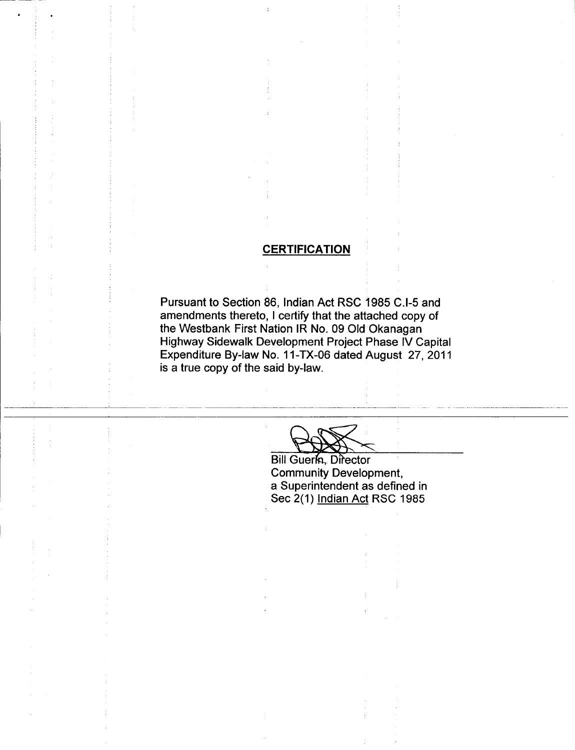# **CERTIFICATION**

Pursuant to Section 86, Indian Act RSC 1985 C.I-5 and amendments thereto, I certify that the attached copy of the Westbank First Nation IR No. 09 Old Okanagan Highway Sidewalk Development Project Phase IV Capital Expenditure By -law No. 11 -TX -06 dated August 27, 2011 is a true copy of the said by -law.

 $\Omega$ 

Bill Guerfn, Director Community Development, a Superintendent as defined in Sec 2(1) Indian Act RSC 1985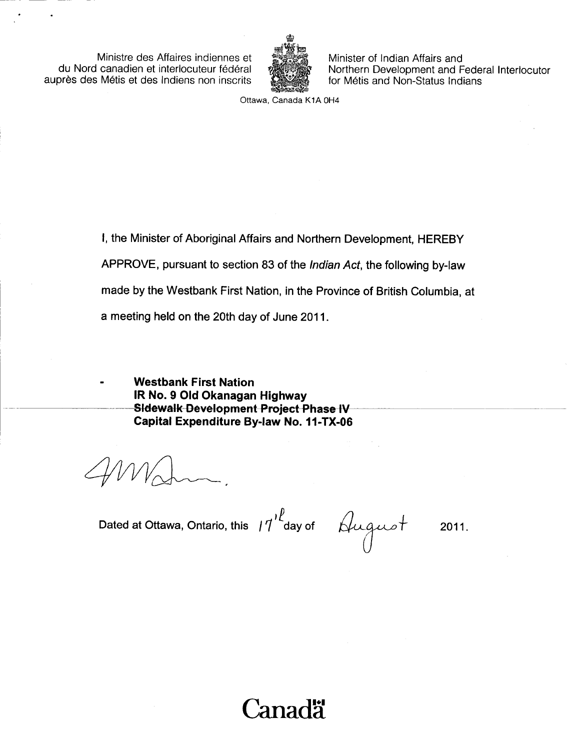Ministre des Affaires indiennes et du Nord canadien et interlocuteur federal auprès des Métis et des Indiens non inscrits



Minister of Indian Affairs and Northern Development and Federal Interlocutor for Métis and Non-Status Indians

Ottawa, Canada K1A OH4

1, the Minister of Aboriginal Affairs and Northern Development, HEREBY APPROVE, pursuant to section 83 of the Indian Act, the following by -law made by the Westbank First Nation, in the Province of British Columbia, at a meeting held on the 20th day of June 2011.

Westbank First Nation IR No. 9 Old Okanagan Highway Sidewalk-Development Project Phase IV Capital Expenditure By -law No. 11 -TX -06

Dated at Ottawa, Ontario, this  $17$  day of plugue

2011.

'anadä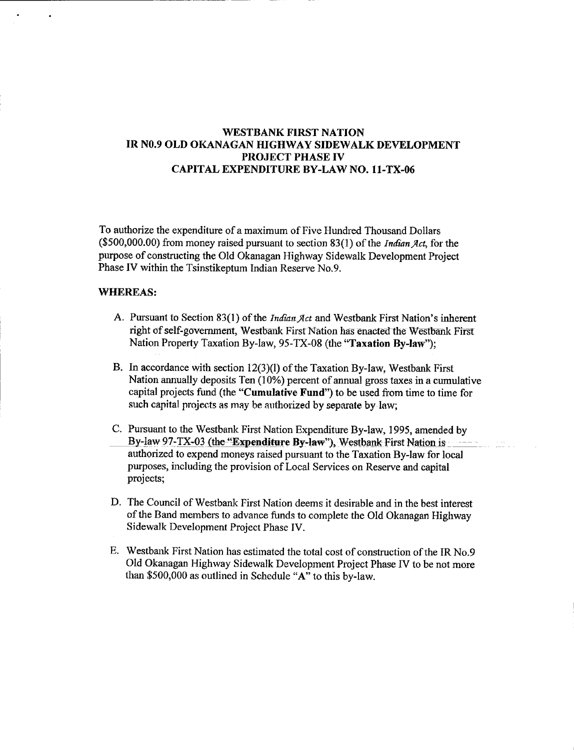## WESTBANK FIRST NATION IR N0.9 OLD OKANAGAN HIGHWAY SIDEWALK DEVELOPMENT PROJECT PHASE IV CAPITAL EXPENDITURE BY -LAW NO. 11 -TX -06

To authorize the expenditure of a maximum of Five Hundred Thousand Dollars  $($500,000.00)$  from money raised pursuant to section  $83(1)$  of the *Indian Act*, for the purpose of constructing the Old Okanagan Highway Sidewalk Development Project Phase IV within the Tsinstikeptum Indian Reserve No.9.

### WHEREAS:

- A. Pursuant to Section 83(1) of the *Indian Act* and Westbank First Nation's inherent right of self-government, Westbank First Nation has enacted the Westbank First Nation Property Taxation By-law, 95-TX-08 (the "Taxation By-law");
- B. In accordance with section  $12(3)(1)$  of the Taxation By-law, Westbank First Nation annually deposits Ten (10%) percent of annual gross taxes in a cumulative capital projects fund (the "Cumulative Fund") to be used from time to time for such capital projects as may be authorized by separate by law;
- C. Pursuant to the Westbank First Nation Expenditure By -law, 1995, amended by By-law 97-TX-03 (the "Expenditure By-law"), Westbank First Nation is authorized to expend moneys raised pursuant to the Taxation By -law for local purposes, including the provision of Local Services on Reserve and capital projects;
- D. The Council of Westbank First Nation deems it desirable and in the best interest of the Band members to advance funds to complete the Old Okanagan Highway Sidewalk Development Project Phase IV.
- E. Westbank First Nation has estimated the total cost of construction ofthe IR No.9 Old Okanagan Highway Sidewalk Development Project Phase IV to be not more than \$500,000 as outlined in Schedule "A" to this by-law.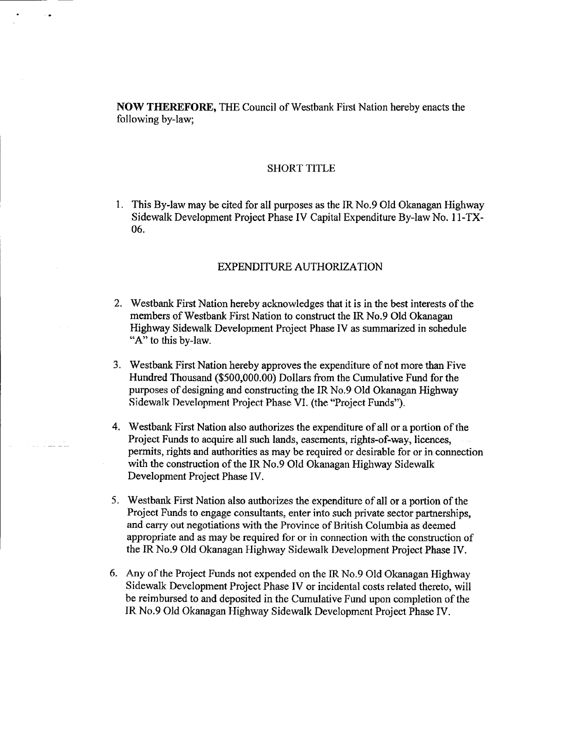NOW THEREFORE, THE Council of Westbank First Nation hereby enacts the following by-law;

#### SHORT T1TLE

1. This By -law may be cited for all purposes as the IR No.9 Old Okanagan Highway Sidewalk Development Project Phase IV Capital Expenditure By-law No. 11-TX-06.

#### EXPENDITURE AUTHORIZATION

- 2. Westbank First Nation hereby acknowledges that it is in the best interests of the members of Westbank First Nation to construct the IR No.9 Old Okanagan Highway Sidewalk. Development Project Phase IV as summarized in schedule "A" to this by-law.
- 3. Westbank First Nation hereby approves the expenditure of not more than Five Hundred Thousand (\$500,000.00) Dollars from the Cumulative Fund for the purposes of designing and constructing the IR No.9 Old Okanagan Highway Sidewalk Development Project Phase VI. (the "Project Funds").
- 4. Westbank First Nation also authorizes the expenditure of all or a portion of the Project Funds to acquire all such lands, easements, rights-of-way, licences, permits, rights and authorities as may be required or desirable for or in connection with the construction of the IR No.9 Old Okanagan Highway Sidewalk Development Project Phase IV.
- 5. Westbank First Nation also authorizes the expenditure of all or <sup>a</sup> portion of the Project Funds to engage consultants, enter into such private sector partnerships, and carry out negotiations with the Province of British Columbia as deemed appropriate and as may be required for or in connection with the construction of the IR No.9 Old. Okanagan Highway Sidewalk Development Project Phase IV.
- 6. Any of the Project Funds not expended on the IR No.9 Old Okanagan Highway Sidewalk Development Project Phase IV or incidental costs related thereto, will be reimbursed to and deposited in the Cumulative Fund upon completion of the IR No.9 Old Okanagan Highway Sidewalk Development Project Phase IV.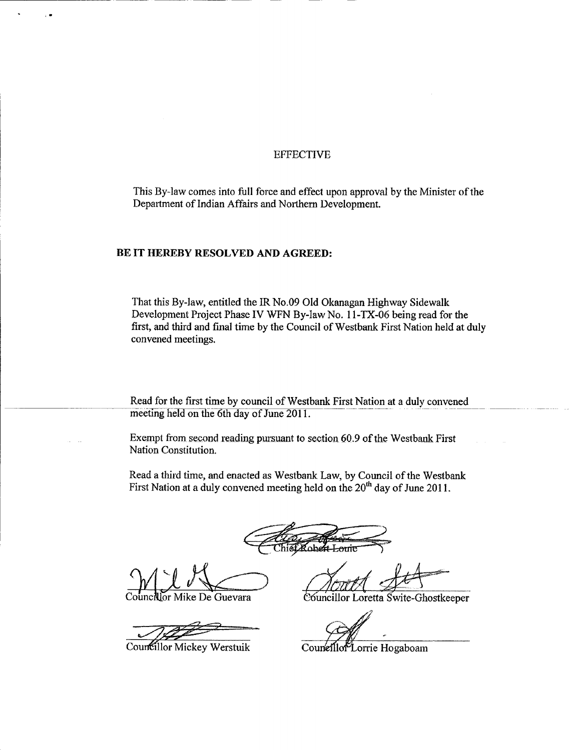### **EFFECTIVE**

This By-law comes into full force and effect upon approval by the Minister of the Department of Indian Affairs and Northern Development.

#### BE IT HEREBY RESOLVED AND AGREED:

That this By-law, entitled the IR No.09 Old Okanagan Highway Sidewalk Development Project Phase IV WFN By-law No. 11-TX-06 being read for the first, and third and final time by the Council of Westbank First Nation held at duly convened meetings.

Read for the first time by council of Westbank First Nation at a duly convened meeting held on the 6th day of June 2011.

Exempt from second reading pursuant to section 60.9 of the Westbank First Nation Constitution.

Read a third time, and enacted as Westbank Law, by Council of the Westbank First Nation at a duly convened meeting held on the 20<sup>th</sup> day of June 2011.

Cobert Loui

lor Mike De Guevara

Councillor Mickey Werstuik

Councillor Loretta Swite-Ghostkeeper

Couneillor Lorrie Hogaboam